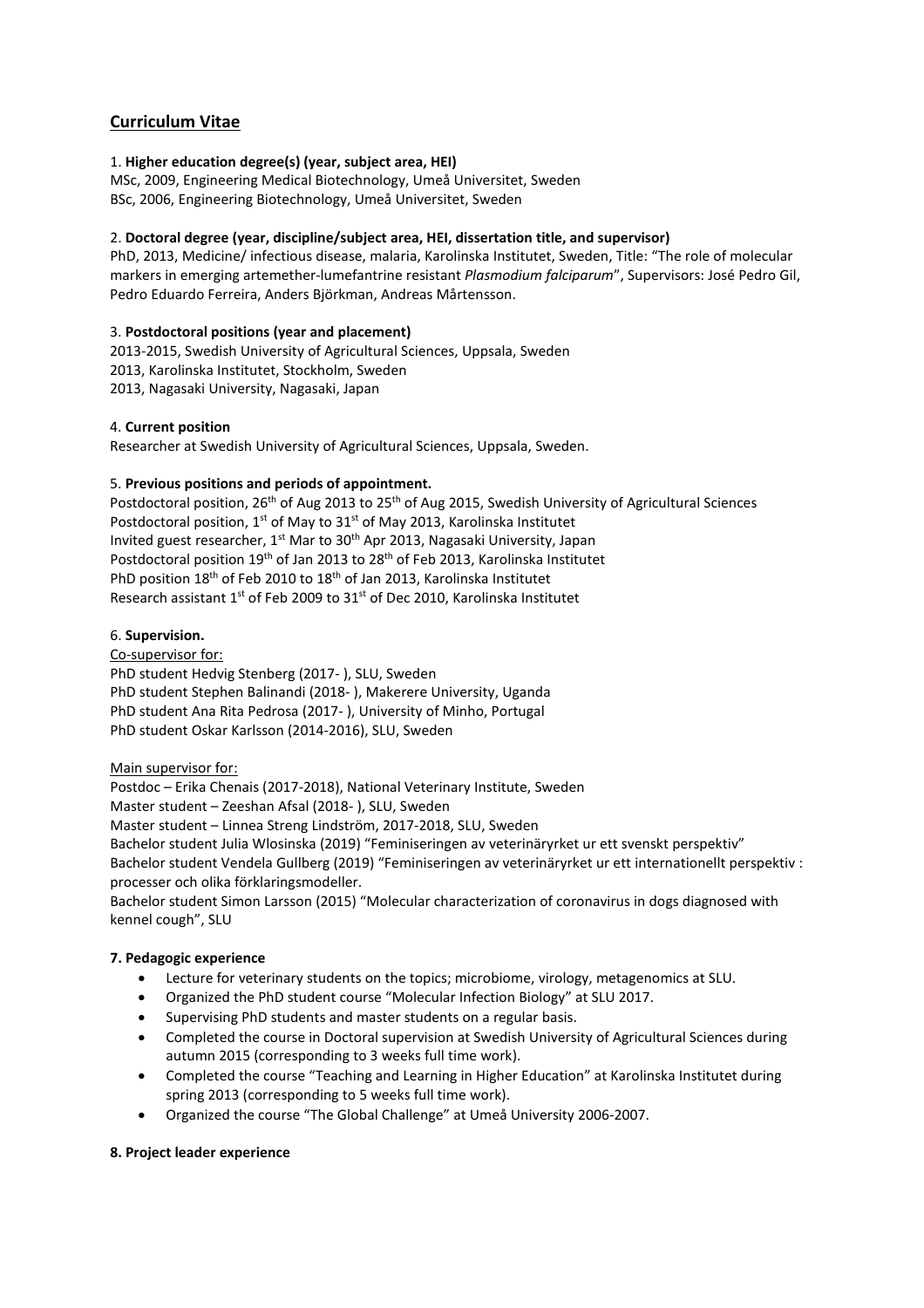# **Curriculum Vitae**

### 1. **Higher education degree(s) (year, subject area, HEI)**

MSc, 2009, Engineering Medical Biotechnology, Umeå Universitet, Sweden BSc, 2006, Engineering Biotechnology, Umeå Universitet, Sweden

## 2. **Doctoral degree (year, discipline/subject area, HEI, dissertation title, and supervisor)**

PhD, 2013, Medicine/ infectious disease, malaria, Karolinska Institutet, Sweden, Title: "The role of molecular markers in emerging artemether-lumefantrine resistant *Plasmodium falciparum*", Supervisors: José Pedro Gil, Pedro Eduardo Ferreira, Anders Björkman, Andreas Mårtensson.

## 3. **Postdoctoral positions (year and placement)**

2013-2015, Swedish University of Agricultural Sciences, Uppsala, Sweden 2013, Karolinska Institutet, Stockholm, Sweden 2013, Nagasaki University, Nagasaki, Japan

#### 4. **Current position**

Researcher at Swedish University of Agricultural Sciences, Uppsala, Sweden.

#### 5. **Previous positions and periods of appointment.**

Postdoctoral position, 26<sup>th</sup> of Aug 2013 to 25<sup>th</sup> of Aug 2015, Swedish University of Agricultural Sciences Postdoctoral position,  $1^{st}$  of May to  $31^{st}$  of May 2013, Karolinska Institutet Invited guest researcher, 1<sup>st</sup> Mar to 30<sup>th</sup> Apr 2013, Nagasaki University, Japan Postdoctoral position 19<sup>th</sup> of Jan 2013 to 28<sup>th</sup> of Feb 2013, Karolinska Institutet PhD position 18<sup>th</sup> of Feb 2010 to 18<sup>th</sup> of Jan 2013, Karolinska Institutet Research assistant 1st of Feb 2009 to 31st of Dec 2010, Karolinska Institutet

#### 6. **Supervision.**

#### Co-supervisor for:

PhD student Hedvig Stenberg (2017- ), SLU, Sweden PhD student Stephen Balinandi (2018- ), Makerere University, Uganda PhD student Ana Rita Pedrosa (2017- ), University of Minho, Portugal PhD student Oskar Karlsson (2014-2016), SLU, Sweden

#### Main supervisor for:

Postdoc – Erika Chenais (2017-2018), National Veterinary Institute, Sweden Master student – Zeeshan Afsal (2018- ), SLU, Sweden Master student – Linnea Streng Lindström, 2017-2018, SLU, Sweden Bachelor student Julia Wlosinska (2019) "Feminiseringen av veterinäryrket ur ett svenskt perspektiv" Bachelor student Vendela Gullberg (2019) "Feminiseringen av veterinäryrket ur ett internationellt perspektiv : processer och olika förklaringsmodeller.

Bachelor student Simon Larsson (2015) "Molecular characterization of coronavirus in dogs diagnosed with kennel cough", SLU

#### **7. Pedagogic experience**

- Lecture for veterinary students on the topics; microbiome, virology, metagenomics at SLU.
- Organized the PhD student course "Molecular Infection Biology" at SLU 2017.
- Supervising PhD students and master students on a regular basis.
- Completed the course in Doctoral supervision at Swedish University of Agricultural Sciences during autumn 2015 (corresponding to 3 weeks full time work).
- Completed the course "Teaching and Learning in Higher Education" at Karolinska Institutet during spring 2013 (corresponding to 5 weeks full time work).
- Organized the course "The Global Challenge" at Umeå University 2006-2007.

#### **8. Project leader experience**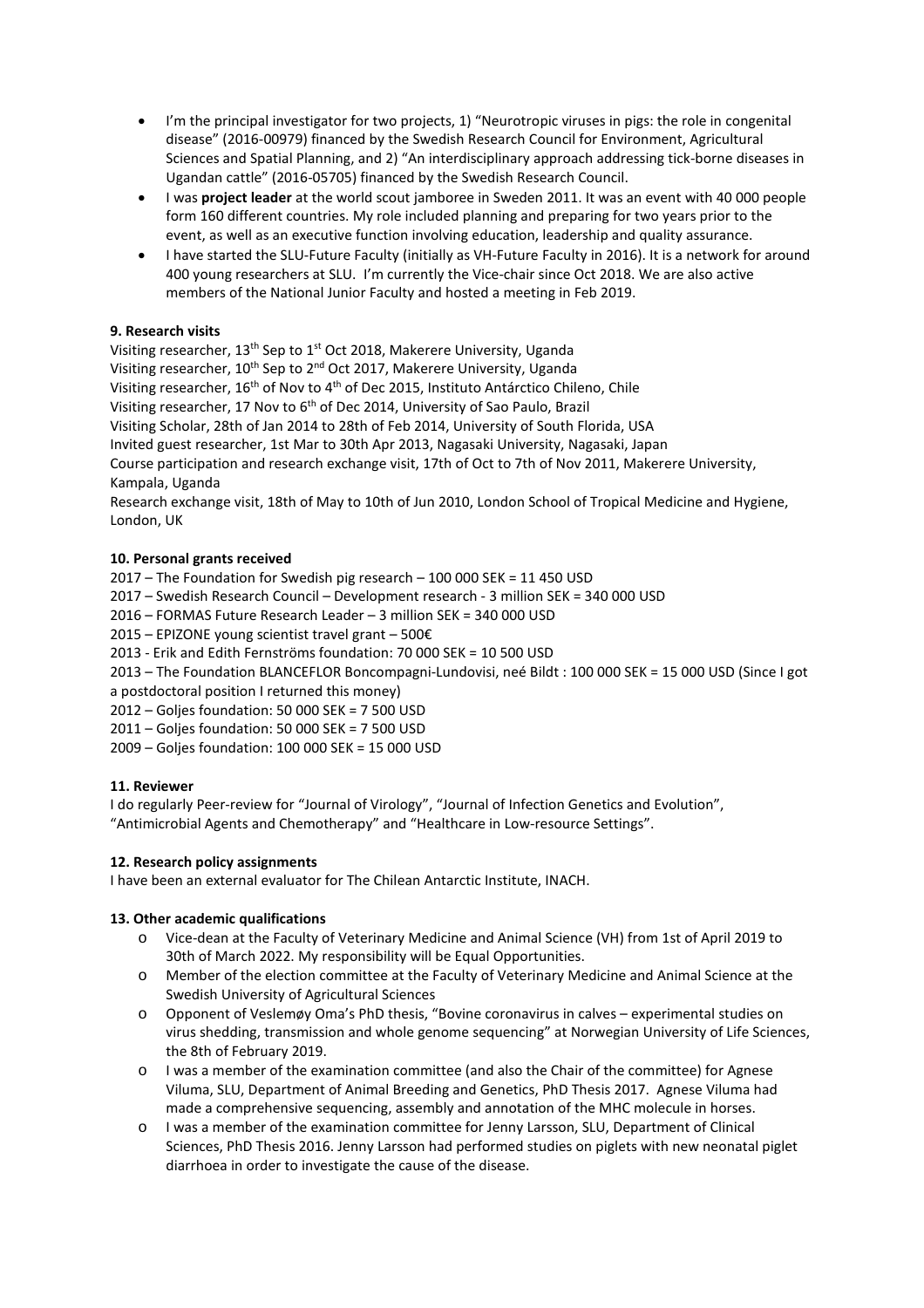- I'm the principal investigator for two projects, 1) "Neurotropic viruses in pigs: the role in congenital disease" (2016-00979) financed by the Swedish Research Council for Environment, Agricultural Sciences and Spatial Planning, and 2) "An interdisciplinary approach addressing tick-borne diseases in Ugandan cattle" (2016-05705) financed by the Swedish Research Council.
- I was **project leader** at the world scout jamboree in Sweden 2011. It was an event with 40 000 people form 160 different countries. My role included planning and preparing for two years prior to the event, as well as an executive function involving education, leadership and quality assurance.
- I have started the SLU-Future Faculty (initially as VH-Future Faculty in 2016). It is a network for around 400 young researchers at SLU. I'm currently the Vice-chair since Oct 2018. We are also active members of the National Junior Faculty and hosted a meeting in Feb 2019.

# **9. Research visits**

Visiting researcher, 13<sup>th</sup> Sep to 1<sup>st</sup> Oct 2018, Makerere University, Uganda Visiting researcher, 10<sup>th</sup> Sep to 2<sup>nd</sup> Oct 2017, Makerere University, Uganda Visiting researcher, 16<sup>th</sup> of Nov to 4<sup>th</sup> of Dec 2015, Instituto Antárctico Chileno, Chile Visiting researcher, 17 Nov to 6<sup>th</sup> of Dec 2014, University of Sao Paulo, Brazil Visiting Scholar, 28th of Jan 2014 to 28th of Feb 2014, University of South Florida, USA Invited guest researcher, 1st Mar to 30th Apr 2013, Nagasaki University, Nagasaki, Japan Course participation and research exchange visit, 17th of Oct to 7th of Nov 2011, Makerere University, Kampala, Uganda

Research exchange visit, 18th of May to 10th of Jun 2010, London School of Tropical Medicine and Hygiene, London, UK

## **10. Personal grants received**

2017 – The Foundation for Swedish pig research – 100 000 SEK = 11 450 USD

2017 – Swedish Research Council – Development research - 3 million SEK = 340 000 USD

2016 – FORMAS Future Research Leader – 3 million SEK = 340 000 USD

2015 – EPIZONE young scientist travel grant – 500€

2013 - Erik and Edith Fernströms foundation: 70 000 SEK = 10 500 USD

2013 – The Foundation BLANCEFLOR Boncompagni-Lundovisi, neé Bildt : 100 000 SEK = 15 000 USD (Since I got a postdoctoral position I returned this money)

2012 – Goljes foundation: 50 000 SEK = 7 500 USD

2011 – Goljes foundation: 50 000 SEK = 7 500 USD

2009 – Goljes foundation: 100 000 SEK = 15 000 USD

## **11. Reviewer**

I do regularly Peer-review for "Journal of Virology", "Journal of Infection Genetics and Evolution", "Antimicrobial Agents and Chemotherapy" and "Healthcare in Low-resource Settings".

## **12. Research policy assignments**

I have been an external evaluator for The Chilean Antarctic Institute, INACH.

## **13. Other academic qualifications**

- o Vice-dean at the Faculty of Veterinary Medicine and Animal Science (VH) from 1st of April 2019 to 30th of March 2022. My responsibility will be Equal Opportunities.
- o Member of the election committee at the Faculty of Veterinary Medicine and Animal Science at the Swedish University of Agricultural Sciences
- o Opponent of Veslemøy Oma's PhD thesis, "Bovine coronavirus in calves experimental studies on virus shedding, transmission and whole genome sequencing" at Norwegian University of Life Sciences, the 8th of February 2019.
- o I was a member of the examination committee (and also the Chair of the committee) for Agnese Viluma, SLU, Department of Animal Breeding and Genetics, PhD Thesis 2017. Agnese Viluma had made a comprehensive sequencing, assembly and annotation of the MHC molecule in horses.
- o I was a member of the examination committee for Jenny Larsson, SLU, Department of Clinical Sciences, PhD Thesis 2016. Jenny Larsson had performed studies on piglets with new neonatal piglet diarrhoea in order to investigate the cause of the disease.